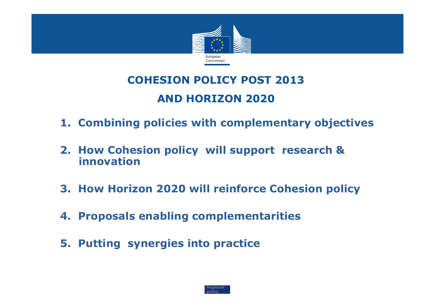

# **COHESION POLICY POST 2013AND HORIZON 2020**

- **1. Combining policies with complementary objectives**
- **2. How Cohesion policy will support research & innovation**
- **3. How Horizon 2020 will reinforce Cohesion policy**
- **4. Proposals enabling complementarities**
- **5. Putting synergies into practice**

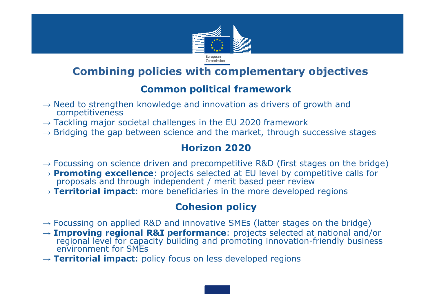

## **Combining policies with complementary objectives**

### **Common political framework**

- $\rightarrow$  Need to strengthen knowledge and innovation as drivers of growth and competitiveness competitiveness
- $\rightarrow$  Tackling major societal challenges in the EU 2020 framework<br> $\rightarrow$  Bridging the gan between science and the market, through si
- $\rightarrow$  Bridging the gap between science and the market, through successive stages

### **Horizon 2020**

- → Focussing on science driven and precompetitive R&D (first stages on the bridge)<br>→ **Promoting excellence**: projects selected at EU level by competitive calls for
- → **Promoting excellence**: projects selected at EU level by competitive calls for<br>proposals and through independent / merit based peer review proposals and through independent / merit based peer review
- → **Territorial impact**: more beneficiaries in the more developed regions

### **Cohesion policy**

- → Focussing on applied R&D and innovative SMEs (latter stages on the bridge)<br>→ **Imnroving regional R&I nerformance**: projects selected at national and،
- → **Improving regional R&I performance**: projects selected at national and/or regional level for capacity building and promoting innovation-friendly business environment for SMEs
- $\rightarrow$  Territorial impact: policy focus on less developed regions

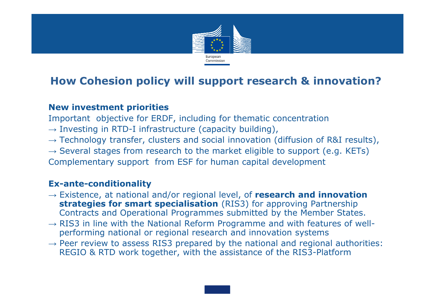

### **How Cohesion policy will support research & innovation?**

#### **New investment priorities**

Important objective for ERDF, including for thematic concentration

- $\rightarrow$  Investing in RTD-I infrastructure (capacity building),<br>  $\rightarrow$  Technology transfer, clusters and social innovation (
- $\rightarrow$  Technology transfer, clusters and social innovation (diffusion of R&I results),  $\rightarrow$  Soveral stages from research to the market eligible to support (e.g. KETs).
- $\rightarrow$  Several stages from research to the market eligible to support (e.g. KETs)<br>Complementary support, from ESE for buman capital development

Complementary support from ESF for human capital development

#### **Ex-ante-conditionality**

- → Existence, at national and/or regional level, of **research and innovation strategies for smart specialisation** (RIS3) for approving Partnership Contracts and Operational Programmes submitted by the Member States.
- $\rightarrow$  RIS3 in line with the National Reform Programme and with features of well-<br>performing national or regional research and innovation systems performing national or regional research and innovation systems
- $\rightarrow$  Peer review to assess RIS3 prepared by the national and regional authorities:<br>REGIO & RTD work together, with the assistance of the RIS3-Platform REGIO & RTD work together, with the assistance of the RIS3-Platform

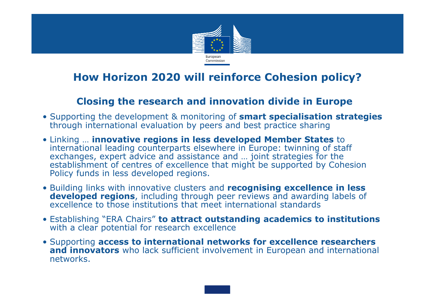

## **How Horizon 2020 will reinforce Cohesion policy?**

### **Closing the research and innovation divide in Europe**

- Supporting the development & monitoring of **smart specialisation strategies**through international evaluation by peers and best practice sharing
- Linking ... **innovative regions in less developed Member States** to Linking … **innovative regions in less developed Member States** to international leading counterparts elsewhere in Europe: twinning of staff exchanges, expert advice and assistance and … joint strategies for the establishment of centres of excellence that might be supported by Cohesion Policy funds in less developed regions.
- Building links with innovative clusters and recognising excellence in less Building links with innovative clusters and **recognising excellence in less developed regions**, including through peer reviews and awarding labels of excellence to those institutions that meet international standards
- Establishing "ERA Chairs" **to attract outstanding academics to institutions** with a clear potential for research excellence
- Supporting access to international networks for excellence researchers Supporting **access to international networks for excellence researchers and innovators** who lack sufficient involvement in European and international networks.

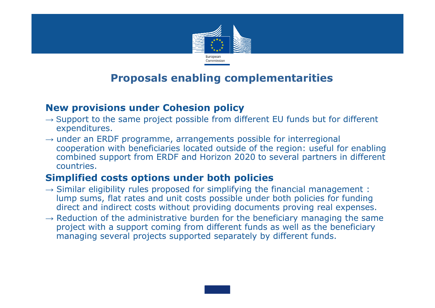

## **Proposals enabling complementarities**

### **New provisions under Cohesion policy**

- $\rightarrow$  Support to the same project possible from different EU funds but for different expenditures.
- $\rightarrow$  under an ERDF programme, arrangements possible for interregional cooperation with beneficiaries located outside of the region: useful fo cooperation with beneficiaries located outside of the region: useful for enabling combined support from ERDF and Horizon 2020 to several partners in different countries.

### **Simplified costs options under both policies**

- $\rightarrow$  Similar eligibility rules proposed for simplifying the financial management :<br>lumn sums, flat rates and unit costs possible under both policies for funding lump sums, flat rates and unit costs possible under both policies for funding direct and indirect costs without providing documents proving real expenses.
- $\rightarrow$  Reduction of the administrative burden for the beneficiary managing the same project with a support coming from different funds as well as the beneficiary project with a support coming from different funds as well as the beneficiary managing several projects supported separately by different funds.